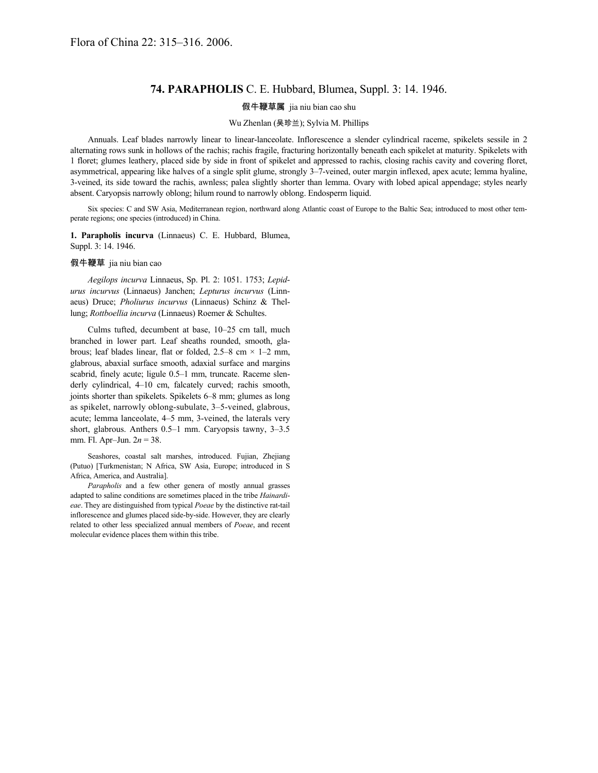## **74. PARAPHOLIS** C. E. Hubbard, Blumea, Suppl. 3: 14. 1946.

## 假牛鞭草属 jia niu bian cao shu

## Wu Zhenlan (吴珍兰); Sylvia M. Phillips

Annuals. Leaf blades narrowly linear to linear-lanceolate. Inflorescence a slender cylindrical raceme, spikelets sessile in 2 alternating rows sunk in hollows of the rachis; rachis fragile, fracturing horizontally beneath each spikelet at maturity. Spikelets with 1 floret; glumes leathery, placed side by side in front of spikelet and appressed to rachis, closing rachis cavity and covering floret, asymmetrical, appearing like halves of a single split glume, strongly 3–7-veined, outer margin inflexed, apex acute; lemma hyaline, 3-veined, its side toward the rachis, awnless; palea slightly shorter than lemma. Ovary with lobed apical appendage; styles nearly absent. Caryopsis narrowly oblong; hilum round to narrowly oblong. Endosperm liquid.

Six species: C and SW Asia, Mediterranean region, northward along Atlantic coast of Europe to the Baltic Sea; introduced to most other temperate regions; one species (introduced) in China.

**1. Parapholis incurva** (Linnaeus) C. E. Hubbard, Blumea, Suppl. 3: 14. 1946.

## 假牛鞭草 jia niu bian cao

*Aegilops incurva* Linnaeus, Sp. Pl. 2: 1051. 1753; *Lepidurus incurvus* (Linnaeus) Janchen; *Lepturus incurvus* (Linnaeus) Druce; *Pholiurus incurvus* (Linnaeus) Schinz & Thellung; *Rottboellia incurva* (Linnaeus) Roemer & Schultes.

Culms tufted, decumbent at base, 10–25 cm tall, much branched in lower part. Leaf sheaths rounded, smooth, glabrous; leaf blades linear, flat or folded,  $2.5-8$  cm  $\times$  1-2 mm, glabrous, abaxial surface smooth, adaxial surface and margins scabrid, finely acute; ligule 0.5–1 mm, truncate. Raceme slenderly cylindrical, 4–10 cm, falcately curved; rachis smooth, joints shorter than spikelets. Spikelets 6–8 mm; glumes as long as spikelet, narrowly oblong-subulate, 3–5-veined, glabrous, acute; lemma lanceolate, 4–5 mm, 3-veined, the laterals very short, glabrous. Anthers 0.5–1 mm. Caryopsis tawny, 3–3.5 mm. Fl. Apr–Jun. 2*n* = 38.

Seashores, coastal salt marshes, introduced. Fujian, Zhejiang (Putuo) [Turkmenistan; N Africa, SW Asia, Europe; introduced in S Africa, America, and Australia].

*Parapholis* and a few other genera of mostly annual grasses adapted to saline conditions are sometimes placed in the tribe *Hainardieae*. They are distinguished from typical *Poeae* by the distinctive rat-tail inflorescence and glumes placed side-by-side. However, they are clearly related to other less specialized annual members of *Poeae*, and recent molecular evidence places them within this tribe.